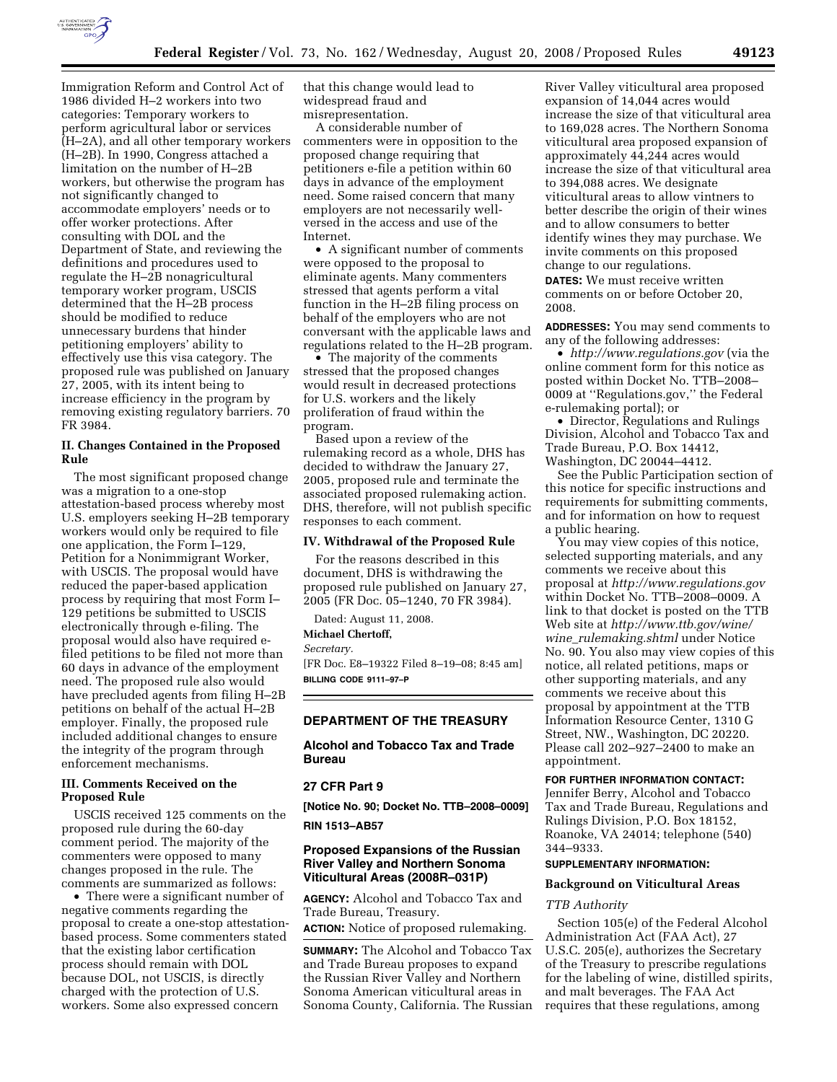

Immigration Reform and Control Act of 1986 divided H–2 workers into two categories: Temporary workers to perform agricultural labor or services (H–2A), and all other temporary workers (H–2B). In 1990, Congress attached a limitation on the number of H–2B workers, but otherwise the program has not significantly changed to accommodate employers' needs or to offer worker protections. After consulting with DOL and the Department of State, and reviewing the definitions and procedures used to regulate the H–2B nonagricultural temporary worker program, USCIS determined that the H–2B process should be modified to reduce unnecessary burdens that hinder petitioning employers' ability to effectively use this visa category. The proposed rule was published on January 27, 2005, with its intent being to increase efficiency in the program by removing existing regulatory barriers. 70 FR 3984.

# **II. Changes Contained in the Proposed Rule**

The most significant proposed change was a migration to a one-stop attestation-based process whereby most U.S. employers seeking H–2B temporary workers would only be required to file one application, the Form I–129, Petition for a Nonimmigrant Worker, with USCIS. The proposal would have reduced the paper-based application process by requiring that most Form I– 129 petitions be submitted to USCIS electronically through e-filing. The proposal would also have required efiled petitions to be filed not more than 60 days in advance of the employment need. The proposed rule also would have precluded agents from filing H–2B petitions on behalf of the actual H–2B employer. Finally, the proposed rule included additional changes to ensure the integrity of the program through enforcement mechanisms.

# **III. Comments Received on the Proposed Rule**

USCIS received 125 comments on the proposed rule during the 60-day comment period. The majority of the commenters were opposed to many changes proposed in the rule. The comments are summarized as follows:

• There were a significant number of negative comments regarding the proposal to create a one-stop attestationbased process. Some commenters stated that the existing labor certification process should remain with DOL because DOL, not USCIS, is directly charged with the protection of U.S. workers. Some also expressed concern

that this change would lead to widespread fraud and misrepresentation.

A considerable number of commenters were in opposition to the proposed change requiring that petitioners e-file a petition within 60 days in advance of the employment need. Some raised concern that many employers are not necessarily wellversed in the access and use of the Internet.

• A significant number of comments were opposed to the proposal to eliminate agents. Many commenters stressed that agents perform a vital function in the H–2B filing process on behalf of the employers who are not conversant with the applicable laws and regulations related to the H–2B program.

• The majority of the comments stressed that the proposed changes would result in decreased protections for U.S. workers and the likely proliferation of fraud within the program.

Based upon a review of the rulemaking record as a whole, DHS has decided to withdraw the January 27, 2005, proposed rule and terminate the associated proposed rulemaking action. DHS, therefore, will not publish specific responses to each comment.

# **IV. Withdrawal of the Proposed Rule**

For the reasons described in this document, DHS is withdrawing the proposed rule published on January 27, 2005 (FR Doc. 05–1240, 70 FR 3984).

Dated: August 11, 2008.

**Michael Chertoff,** 

*Secretary.* 

[FR Doc. E8–19322 Filed 8–19–08; 8:45 am] **BILLING CODE 9111–97–P** 

# **DEPARTMENT OF THE TREASURY**

**Alcohol and Tobacco Tax and Trade Bureau** 

## **27 CFR Part 9**

**[Notice No. 90; Docket No. TTB–2008–0009] RIN 1513–AB57** 

# **Proposed Expansions of the Russian River Valley and Northern Sonoma Viticultural Areas (2008R–031P)**

**AGENCY:** Alcohol and Tobacco Tax and Trade Bureau, Treasury.

**ACTION:** Notice of proposed rulemaking.

**SUMMARY:** The Alcohol and Tobacco Tax and Trade Bureau proposes to expand the Russian River Valley and Northern Sonoma American viticultural areas in Sonoma County, California. The Russian

River Valley viticultural area proposed expansion of 14,044 acres would increase the size of that viticultural area to 169,028 acres. The Northern Sonoma viticultural area proposed expansion of approximately 44,244 acres would increase the size of that viticultural area to 394,088 acres. We designate viticultural areas to allow vintners to better describe the origin of their wines and to allow consumers to better identify wines they may purchase. We invite comments on this proposed change to our regulations.

**DATES:** We must receive written comments on or before October 20, 2008.

**ADDRESSES:** You may send comments to any of the following addresses:

• *http://www.regulations.gov* (via the online comment form for this notice as posted within Docket No. TTB–2008– 0009 at ''Regulations.gov,'' the Federal e-rulemaking portal); or

• Director, Regulations and Rulings Division, Alcohol and Tobacco Tax and Trade Bureau, P.O. Box 14412, Washington, DC 20044–4412.

See the Public Participation section of this notice for specific instructions and requirements for submitting comments, and for information on how to request a public hearing.

You may view copies of this notice, selected supporting materials, and any comments we receive about this proposal at *http://www.regulations.gov*  within Docket No. TTB–2008–0009. A link to that docket is posted on the TTB Web site at *http://www.ttb.gov/wine/ wine*\_*rulemaking.shtml* under Notice No. 90. You also may view copies of this notice, all related petitions, maps or other supporting materials, and any comments we receive about this proposal by appointment at the TTB Information Resource Center, 1310 G Street, NW., Washington, DC 20220. Please call 202–927–2400 to make an appointment.

# **FOR FURTHER INFORMATION CONTACT:**

Jennifer Berry, Alcohol and Tobacco Tax and Trade Bureau, Regulations and Rulings Division, P.O. Box 18152, Roanoke, VA 24014; telephone (540) 344–9333.

# **SUPPLEMENTARY INFORMATION:**

# **Background on Viticultural Areas**

#### *TTB Authority*

Section 105(e) of the Federal Alcohol Administration Act (FAA Act), 27 U.S.C. 205(e), authorizes the Secretary of the Treasury to prescribe regulations for the labeling of wine, distilled spirits, and malt beverages. The FAA Act requires that these regulations, among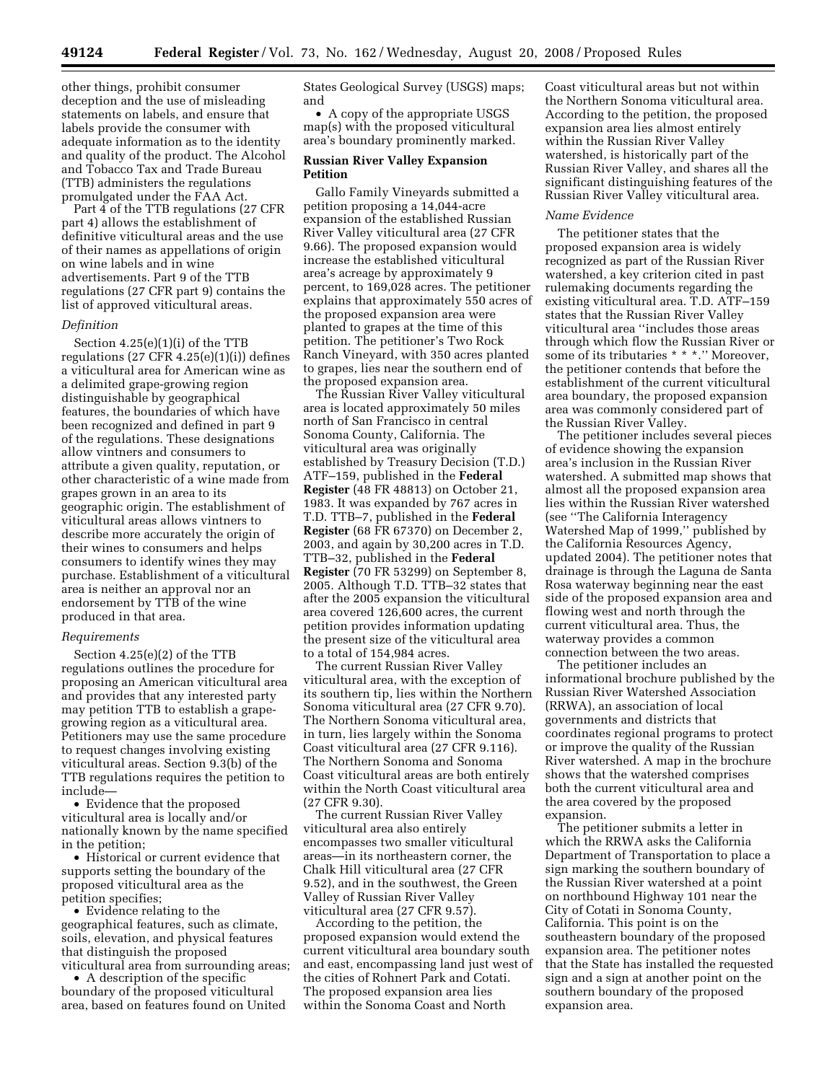other things, prohibit consumer deception and the use of misleading statements on labels, and ensure that labels provide the consumer with adequate information as to the identity and quality of the product. The Alcohol and Tobacco Tax and Trade Bureau (TTB) administers the regulations promulgated under the FAA Act.

Part 4 of the TTB regulations (27 CFR part 4) allows the establishment of definitive viticultural areas and the use of their names as appellations of origin on wine labels and in wine advertisements. Part 9 of the TTB regulations (27 CFR part 9) contains the list of approved viticultural areas.

# *Definition*

Section 4.25(e)(1)(i) of the TTB regulations (27 CFR 4.25(e)(1)(i)) defines a viticultural area for American wine as a delimited grape-growing region distinguishable by geographical features, the boundaries of which have been recognized and defined in part 9 of the regulations. These designations allow vintners and consumers to attribute a given quality, reputation, or other characteristic of a wine made from grapes grown in an area to its geographic origin. The establishment of viticultural areas allows vintners to describe more accurately the origin of their wines to consumers and helps consumers to identify wines they may purchase. Establishment of a viticultural area is neither an approval nor an endorsement by TTB of the wine produced in that area.

#### *Requirements*

Section 4.25(e)(2) of the TTB regulations outlines the procedure for proposing an American viticultural area and provides that any interested party may petition TTB to establish a grapegrowing region as a viticultural area. Petitioners may use the same procedure to request changes involving existing viticultural areas. Section 9.3(b) of the TTB regulations requires the petition to include—

• Evidence that the proposed viticultural area is locally and/or nationally known by the name specified in the petition;

• Historical or current evidence that supports setting the boundary of the proposed viticultural area as the petition specifies;

• Evidence relating to the geographical features, such as climate, soils, elevation, and physical features that distinguish the proposed viticultural area from surrounding areas;

• A description of the specific boundary of the proposed viticultural area, based on features found on United States Geological Survey (USGS) maps; and

• A copy of the appropriate USGS map(s) with the proposed viticultural

area's boundary prominently marked.

# **Russian River Valley Expansion Petition**

Gallo Family Vineyards submitted a petition proposing a 14,044-acre expansion of the established Russian River Valley viticultural area (27 CFR 9.66). The proposed expansion would increase the established viticultural area's acreage by approximately 9 percent, to 169,028 acres. The petitioner explains that approximately 550 acres of the proposed expansion area were planted to grapes at the time of this petition. The petitioner's Two Rock Ranch Vineyard, with 350 acres planted to grapes, lies near the southern end of the proposed expansion area.

The Russian River Valley viticultural area is located approximately 50 miles north of San Francisco in central Sonoma County, California. The viticultural area was originally established by Treasury Decision (T.D.) ATF–159, published in the **Federal Register** (48 FR 48813) on October 21, 1983. It was expanded by 767 acres in T.D. TTB–7, published in the **Federal Register** (68 FR 67370) on December 2, 2003, and again by 30,200 acres in T.D. TTB–32, published in the **Federal Register** (70 FR 53299) on September 8, 2005. Although T.D. TTB–32 states that after the 2005 expansion the viticultural area covered 126,600 acres, the current petition provides information updating the present size of the viticultural area to a total of 154,984 acres.

The current Russian River Valley viticultural area, with the exception of its southern tip, lies within the Northern Sonoma viticultural area (27 CFR 9.70). The Northern Sonoma viticultural area, in turn, lies largely within the Sonoma Coast viticultural area (27 CFR 9.116). The Northern Sonoma and Sonoma Coast viticultural areas are both entirely within the North Coast viticultural area (27 CFR 9.30).

The current Russian River Valley viticultural area also entirely encompasses two smaller viticultural areas—in its northeastern corner, the Chalk Hill viticultural area (27 CFR 9.52), and in the southwest, the Green Valley of Russian River Valley viticultural area (27 CFR 9.57).

According to the petition, the proposed expansion would extend the current viticultural area boundary south and east, encompassing land just west of the cities of Rohnert Park and Cotati. The proposed expansion area lies within the Sonoma Coast and North

Coast viticultural areas but not within the Northern Sonoma viticultural area. According to the petition, the proposed expansion area lies almost entirely within the Russian River Valley watershed, is historically part of the Russian River Valley, and shares all the significant distinguishing features of the Russian River Valley viticultural area.

# *Name Evidence*

The petitioner states that the proposed expansion area is widely recognized as part of the Russian River watershed, a key criterion cited in past rulemaking documents regarding the existing viticultural area. T.D. ATF–159 states that the Russian River Valley viticultural area ''includes those areas through which flow the Russian River or some of its tributaries \* \* \*.'' Moreover, the petitioner contends that before the establishment of the current viticultural area boundary, the proposed expansion area was commonly considered part of the Russian River Valley.

The petitioner includes several pieces of evidence showing the expansion area's inclusion in the Russian River watershed. A submitted map shows that almost all the proposed expansion area lies within the Russian River watershed (see ''The California Interagency Watershed Map of 1999,'' published by the California Resources Agency, updated 2004). The petitioner notes that drainage is through the Laguna de Santa Rosa waterway beginning near the east side of the proposed expansion area and flowing west and north through the current viticultural area. Thus, the waterway provides a common connection between the two areas.

The petitioner includes an informational brochure published by the Russian River Watershed Association (RRWA), an association of local governments and districts that coordinates regional programs to protect or improve the quality of the Russian River watershed. A map in the brochure shows that the watershed comprises both the current viticultural area and the area covered by the proposed expansion.

The petitioner submits a letter in which the RRWA asks the California Department of Transportation to place a sign marking the southern boundary of the Russian River watershed at a point on northbound Highway 101 near the City of Cotati in Sonoma County, California. This point is on the southeastern boundary of the proposed expansion area. The petitioner notes that the State has installed the requested sign and a sign at another point on the southern boundary of the proposed expansion area.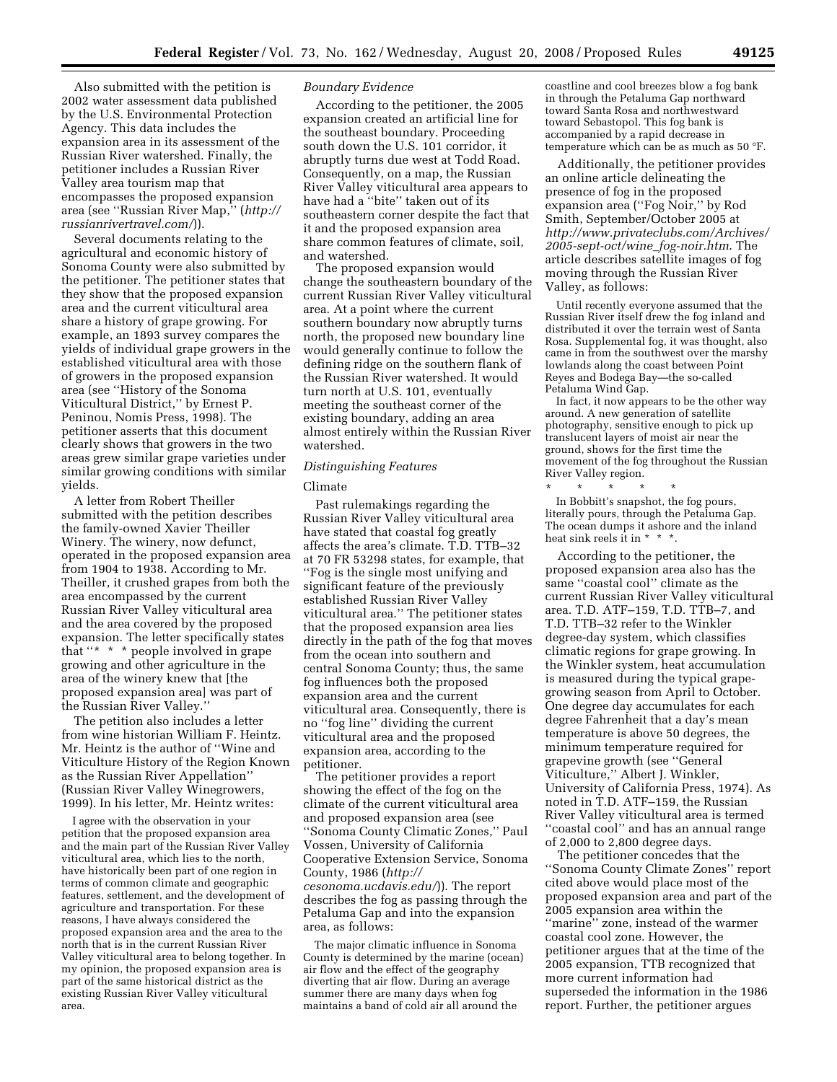Also submitted with the petition is 2002 water assessment data published by the U.S. Environmental Protection Agency. This data includes the expansion area in its assessment of the Russian River watershed. Finally, the petitioner includes a Russian River Valley area tourism map that encompasses the proposed expansion area (see ''Russian River Map,'' (*http:// russianrivertravel.com/*)).

Several documents relating to the agricultural and economic history of Sonoma County were also submitted by the petitioner. The petitioner states that they show that the proposed expansion area and the current viticultural area share a history of grape growing. For example, an 1893 survey compares the yields of individual grape growers in the established viticultural area with those of growers in the proposed expansion area (see ''History of the Sonoma Viticultural District,'' by Ernest P. Peninou, Nomis Press, 1998). The petitioner asserts that this document clearly shows that growers in the two areas grew similar grape varieties under similar growing conditions with similar yields.

A letter from Robert Theiller submitted with the petition describes the family-owned Xavier Theiller Winery. The winery, now defunct, operated in the proposed expansion area from 1904 to 1938. According to Mr. Theiller, it crushed grapes from both the area encompassed by the current Russian River Valley viticultural area and the area covered by the proposed expansion. The letter specifically states that "\* \* \* people involved in grape growing and other agriculture in the area of the winery knew that [the proposed expansion area] was part of the Russian River Valley.

The petition also includes a letter from wine historian William F. Heintz. Mr. Heintz is the author of ''Wine and Viticulture History of the Region Known as the Russian River Appellation'' (Russian River Valley Winegrowers, 1999). In his letter, Mr. Heintz writes:

I agree with the observation in your petition that the proposed expansion area and the main part of the Russian River Valley viticultural area, which lies to the north, have historically been part of one region in terms of common climate and geographic features, settlement, and the development of agriculture and transportation. For these reasons, I have always considered the proposed expansion area and the area to the north that is in the current Russian River Valley viticultural area to belong together. In my opinion, the proposed expansion area is part of the same historical district as the existing Russian River Valley viticultural area.

## *Boundary Evidence*

According to the petitioner, the 2005 expansion created an artificial line for the southeast boundary. Proceeding south down the U.S. 101 corridor, it abruptly turns due west at Todd Road. Consequently, on a map, the Russian River Valley viticultural area appears to have had a ''bite'' taken out of its southeastern corner despite the fact that it and the proposed expansion area share common features of climate, soil, and watershed.

The proposed expansion would change the southeastern boundary of the current Russian River Valley viticultural area. At a point where the current southern boundary now abruptly turns north, the proposed new boundary line would generally continue to follow the defining ridge on the southern flank of the Russian River watershed. It would turn north at U.S. 101, eventually meeting the southeast corner of the existing boundary, adding an area almost entirely within the Russian River watershed.

# *Distinguishing Features*

#### Climate

Past rulemakings regarding the Russian River Valley viticultural area have stated that coastal fog greatly affects the area's climate. T.D. TTB–32 at 70 FR 53298 states, for example, that ''Fog is the single most unifying and significant feature of the previously established Russian River Valley viticultural area.'' The petitioner states that the proposed expansion area lies directly in the path of the fog that moves from the ocean into southern and central Sonoma County; thus, the same fog influences both the proposed expansion area and the current viticultural area. Consequently, there is no ''fog line'' dividing the current viticultural area and the proposed expansion area, according to the petitioner.

The petitioner provides a report showing the effect of the fog on the climate of the current viticultural area and proposed expansion area (see ''Sonoma County Climatic Zones,'' Paul Vossen, University of California Cooperative Extension Service, Sonoma County, 1986 (*http:// cesonoma.ucdavis.edu/*)). The report describes the fog as passing through the Petaluma Gap and into the expansion area, as follows:

The major climatic influence in Sonoma County is determined by the marine (ocean) air flow and the effect of the geography diverting that air flow. During an average summer there are many days when fog maintains a band of cold air all around the

coastline and cool breezes blow a fog bank in through the Petaluma Gap northward toward Santa Rosa and northwestward toward Sebastopol. This fog bank is accompanied by a rapid decrease in temperature which can be as much as 50 °F.

Additionally, the petitioner provides an online article delineating the presence of fog in the proposed expansion area (''Fog Noir,'' by Rod Smith, September/October 2005 at *http://www.privateclubs.com/Archives/ 2005-sept-oct/wine*\_*fog-noir.htm*. The article describes satellite images of fog moving through the Russian River Valley, as follows:

Until recently everyone assumed that the Russian River itself drew the fog inland and distributed it over the terrain west of Santa Rosa. Supplemental fog, it was thought, also came in from the southwest over the marshy lowlands along the coast between Point Reyes and Bodega Bay—the so-called Petaluma Wind Gap.

In fact, it now appears to be the other way around. A new generation of satellite photography, sensitive enough to pick up translucent layers of moist air near the ground, shows for the first time the movement of the fog throughout the Russian River Valley region.

\* \* \* \* \* In Bobbitt's snapshot, the fog pours, literally pours, through the Petaluma Gap. The ocean dumps it ashore and the inland heat sink reels it in \* \* \*.

According to the petitioner, the proposed expansion area also has the same ''coastal cool'' climate as the current Russian River Valley viticultural area. T.D. ATF–159, T.D. TTB–7, and T.D. TTB–32 refer to the Winkler degree-day system, which classifies climatic regions for grape growing. In the Winkler system, heat accumulation is measured during the typical grapegrowing season from April to October. One degree day accumulates for each degree Fahrenheit that a day's mean temperature is above 50 degrees, the minimum temperature required for grapevine growth (see ''General Viticulture,'' Albert J. Winkler, University of California Press, 1974). As noted in T.D. ATF–159, the Russian River Valley viticultural area is termed ''coastal cool'' and has an annual range of 2,000 to 2,800 degree days.

The petitioner concedes that the ''Sonoma County Climate Zones'' report cited above would place most of the proposed expansion area and part of the 2005 expansion area within the ''marine'' zone, instead of the warmer coastal cool zone. However, the petitioner argues that at the time of the 2005 expansion, TTB recognized that more current information had superseded the information in the 1986 report. Further, the petitioner argues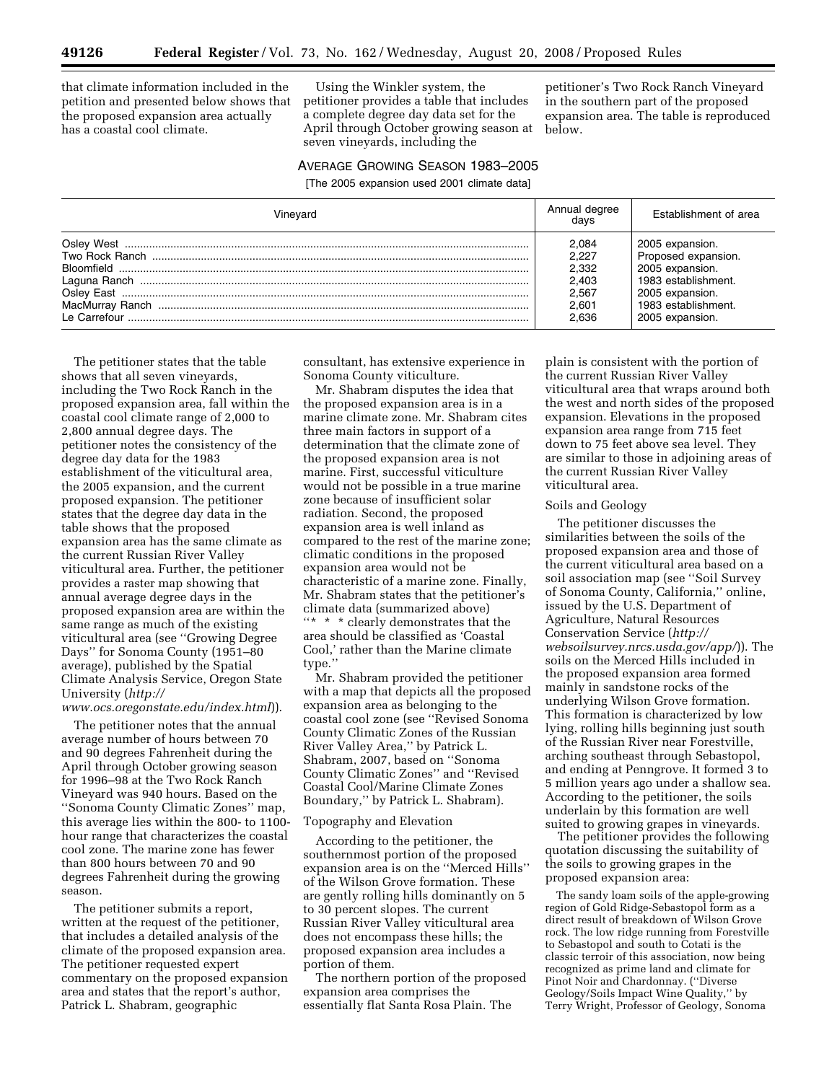that climate information included in the petition and presented below shows that the proposed expansion area actually has a coastal cool climate.

Using the Winkler system, the petitioner provides a table that includes a complete degree day data set for the April through October growing season at seven vineyards, including the

petitioner's Two Rock Ranch Vineyard in the southern part of the proposed expansion area. The table is reproduced below.

AVERAGE GROWING SEASON 1983–2005

[The 2005 expansion used 2001 climate data]

| Vinevard | Annual degree<br>davs | Establishment of area |
|----------|-----------------------|-----------------------|
|          | 2.084                 | 2005 expansion.       |
|          | 2.227                 | Proposed expansion.   |
|          | 2.332                 | 2005 expansion.       |
|          | 2.403                 | 1983 establishment.   |
|          | 2.567                 | 2005 expansion.       |
|          | 2.601                 | 1983 establishment.   |
|          | 2.636                 | 2005 expansion.       |

The petitioner states that the table shows that all seven vineyards, including the Two Rock Ranch in the proposed expansion area, fall within the coastal cool climate range of 2,000 to 2,800 annual degree days. The petitioner notes the consistency of the degree day data for the 1983 establishment of the viticultural area, the 2005 expansion, and the current proposed expansion. The petitioner states that the degree day data in the table shows that the proposed expansion area has the same climate as the current Russian River Valley viticultural area. Further, the petitioner provides a raster map showing that annual average degree days in the proposed expansion area are within the same range as much of the existing viticultural area (see ''Growing Degree Days'' for Sonoma County (1951–80 average), published by the Spatial Climate Analysis Service, Oregon State University (*http://* 

#### *www.ocs.oregonstate.edu/index.html*)).

The petitioner notes that the annual average number of hours between 70 and 90 degrees Fahrenheit during the April through October growing season for 1996–98 at the Two Rock Ranch Vineyard was 940 hours. Based on the ''Sonoma County Climatic Zones'' map, this average lies within the 800- to 1100 hour range that characterizes the coastal cool zone. The marine zone has fewer than 800 hours between 70 and 90 degrees Fahrenheit during the growing season.

The petitioner submits a report, written at the request of the petitioner, that includes a detailed analysis of the climate of the proposed expansion area. The petitioner requested expert commentary on the proposed expansion area and states that the report's author, Patrick L. Shabram, geographic

consultant, has extensive experience in Sonoma County viticulture.

Mr. Shabram disputes the idea that the proposed expansion area is in a marine climate zone. Mr. Shabram cites three main factors in support of a determination that the climate zone of the proposed expansion area is not marine. First, successful viticulture would not be possible in a true marine zone because of insufficient solar radiation. Second, the proposed expansion area is well inland as compared to the rest of the marine zone; climatic conditions in the proposed expansion area would not be characteristic of a marine zone. Finally, Mr. Shabram states that the petitioner's climate data (summarized above) ''\* \* \* clearly demonstrates that the area should be classified as 'Coastal Cool,' rather than the Marine climate type.''

Mr. Shabram provided the petitioner with a map that depicts all the proposed expansion area as belonging to the coastal cool zone (see ''Revised Sonoma County Climatic Zones of the Russian River Valley Area,'' by Patrick L. Shabram, 2007, based on ''Sonoma County Climatic Zones'' and ''Revised Coastal Cool/Marine Climate Zones Boundary,'' by Patrick L. Shabram).

#### Topography and Elevation

According to the petitioner, the southernmost portion of the proposed expansion area is on the ''Merced Hills'' of the Wilson Grove formation. These are gently rolling hills dominantly on 5 to 30 percent slopes. The current Russian River Valley viticultural area does not encompass these hills; the proposed expansion area includes a portion of them.

The northern portion of the proposed expansion area comprises the essentially flat Santa Rosa Plain. The

plain is consistent with the portion of the current Russian River Valley viticultural area that wraps around both the west and north sides of the proposed expansion. Elevations in the proposed expansion area range from 715 feet down to 75 feet above sea level. They are similar to those in adjoining areas of the current Russian River Valley viticultural area.

# Soils and Geology

The petitioner discusses the similarities between the soils of the proposed expansion area and those of the current viticultural area based on a soil association map (see ''Soil Survey of Sonoma County, California,'' online, issued by the U.S. Department of Agriculture, Natural Resources Conservation Service (*http:// websoilsurvey.nrcs.usda.gov/app/*)). The soils on the Merced Hills included in the proposed expansion area formed mainly in sandstone rocks of the underlying Wilson Grove formation. This formation is characterized by low lying, rolling hills beginning just south of the Russian River near Forestville, arching southeast through Sebastopol, and ending at Penngrove. It formed 3 to 5 million years ago under a shallow sea. According to the petitioner, the soils underlain by this formation are well suited to growing grapes in vineyards.

The petitioner provides the following quotation discussing the suitability of the soils to growing grapes in the proposed expansion area:

The sandy loam soils of the apple-growing region of Gold Ridge-Sebastopol form as a direct result of breakdown of Wilson Grove rock. The low ridge running from Forestville to Sebastopol and south to Cotati is the classic terroir of this association, now being recognized as prime land and climate for Pinot Noir and Chardonnay. (''Diverse Geology/Soils Impact Wine Quality,'' by Terry Wright, Professor of Geology, Sonoma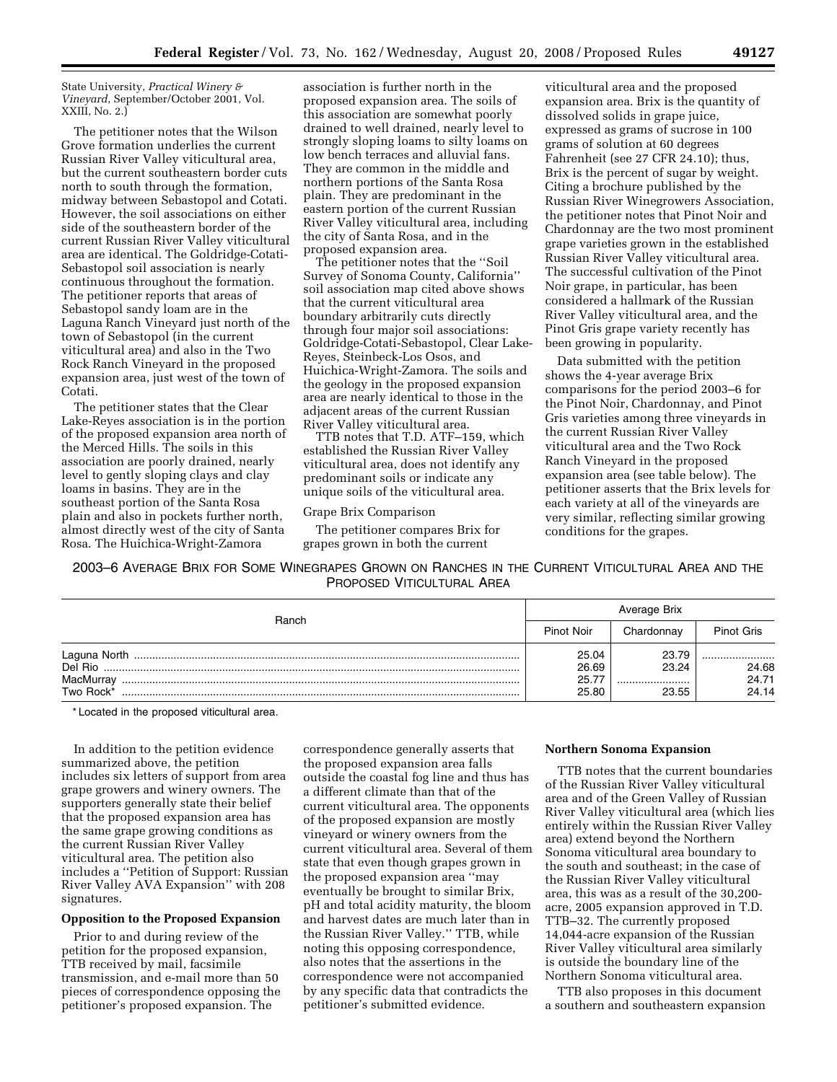State University, *Practical Winery & Vineyard*, September/October 2001, Vol. XXIII, No. 2.)

The petitioner notes that the Wilson Grove formation underlies the current Russian River Valley viticultural area, but the current southeastern border cuts north to south through the formation, midway between Sebastopol and Cotati. However, the soil associations on either side of the southeastern border of the current Russian River Valley viticultural area are identical. The Goldridge-Cotati-Sebastopol soil association is nearly continuous throughout the formation. The petitioner reports that areas of Sebastopol sandy loam are in the Laguna Ranch Vineyard just north of the town of Sebastopol (in the current viticultural area) and also in the Two Rock Ranch Vineyard in the proposed expansion area, just west of the town of Cotati.

The petitioner states that the Clear Lake-Reyes association is in the portion of the proposed expansion area north of the Merced Hills. The soils in this association are poorly drained, nearly level to gently sloping clays and clay loams in basins. They are in the southeast portion of the Santa Rosa plain and also in pockets further north, almost directly west of the city of Santa Rosa. The Huichica-Wright-Zamora

association is further north in the proposed expansion area. The soils of this association are somewhat poorly drained to well drained, nearly level to strongly sloping loams to silty loams on low bench terraces and alluvial fans. They are common in the middle and northern portions of the Santa Rosa plain. They are predominant in the eastern portion of the current Russian River Valley viticultural area, including the city of Santa Rosa, and in the proposed expansion area.

The petitioner notes that the ''Soil Survey of Sonoma County, California'' soil association map cited above shows that the current viticultural area boundary arbitrarily cuts directly through four major soil associations: Goldridge-Cotati-Sebastopol, Clear Lake-Reyes, Steinbeck-Los Osos, and Huichica-Wright-Zamora. The soils and the geology in the proposed expansion area are nearly identical to those in the adjacent areas of the current Russian River Valley viticultural area.

TTB notes that T.D. ATF–159, which established the Russian River Valley viticultural area, does not identify any predominant soils or indicate any unique soils of the viticultural area.

#### Grape Brix Comparison

The petitioner compares Brix for grapes grown in both the current

viticultural area and the proposed expansion area. Brix is the quantity of dissolved solids in grape juice, expressed as grams of sucrose in 100 grams of solution at 60 degrees Fahrenheit (see 27 CFR 24.10); thus, Brix is the percent of sugar by weight. Citing a brochure published by the Russian River Winegrowers Association, the petitioner notes that Pinot Noir and Chardonnay are the two most prominent grape varieties grown in the established Russian River Valley viticultural area. The successful cultivation of the Pinot Noir grape, in particular, has been considered a hallmark of the Russian River Valley viticultural area, and the Pinot Gris grape variety recently has been growing in popularity.

Data submitted with the petition shows the 4-year average Brix comparisons for the period 2003–6 for the Pinot Noir, Chardonnay, and Pinot Gris varieties among three vineyards in the current Russian River Valley viticultural area and the Two Rock Ranch Vineyard in the proposed expansion area (see table below). The petitioner asserts that the Brix levels for each variety at all of the vineyards are very similar, reflecting similar growing conditions for the grapes.

2003–6 AVERAGE BRIX FOR SOME WINEGRAPES GROWN ON RANCHES IN THE CURRENT VITICULTURAL AREA AND THE PROPOSED VITICULTURAL AREA

| Ranch                             | Average Brix                     |                             |                             |
|-----------------------------------|----------------------------------|-----------------------------|-----------------------------|
|                                   | <b>Pinot Noir</b>                | Chardonnav                  | <b>Pinot Gris</b>           |
| Del Rio<br>MacMurray<br>Two Rock* | 25.04<br>26.69<br>25.77<br>25.80 | 23.79<br>23.24<br><br>23.55 | <br>24.68<br>24.71<br>24.14 |

\* Located in the proposed viticultural area.

In addition to the petition evidence summarized above, the petition includes six letters of support from area grape growers and winery owners. The supporters generally state their belief that the proposed expansion area has the same grape growing conditions as the current Russian River Valley viticultural area. The petition also includes a ''Petition of Support: Russian River Valley AVA Expansion'' with 208 signatures.

# **Opposition to the Proposed Expansion**

Prior to and during review of the petition for the proposed expansion, TTB received by mail, facsimile transmission, and e-mail more than 50 pieces of correspondence opposing the petitioner's proposed expansion. The

correspondence generally asserts that the proposed expansion area falls outside the coastal fog line and thus has a different climate than that of the current viticultural area. The opponents of the proposed expansion are mostly vineyard or winery owners from the current viticultural area. Several of them state that even though grapes grown in the proposed expansion area ''may eventually be brought to similar Brix, pH and total acidity maturity, the bloom and harvest dates are much later than in the Russian River Valley.'' TTB, while noting this opposing correspondence, also notes that the assertions in the correspondence were not accompanied by any specific data that contradicts the petitioner's submitted evidence.

#### **Northern Sonoma Expansion**

TTB notes that the current boundaries of the Russian River Valley viticultural area and of the Green Valley of Russian River Valley viticultural area (which lies entirely within the Russian River Valley area) extend beyond the Northern Sonoma viticultural area boundary to the south and southeast; in the case of the Russian River Valley viticultural area, this was as a result of the 30,200 acre, 2005 expansion approved in T.D. TTB–32. The currently proposed 14,044-acre expansion of the Russian River Valley viticultural area similarly is outside the boundary line of the Northern Sonoma viticultural area.

TTB also proposes in this document a southern and southeastern expansion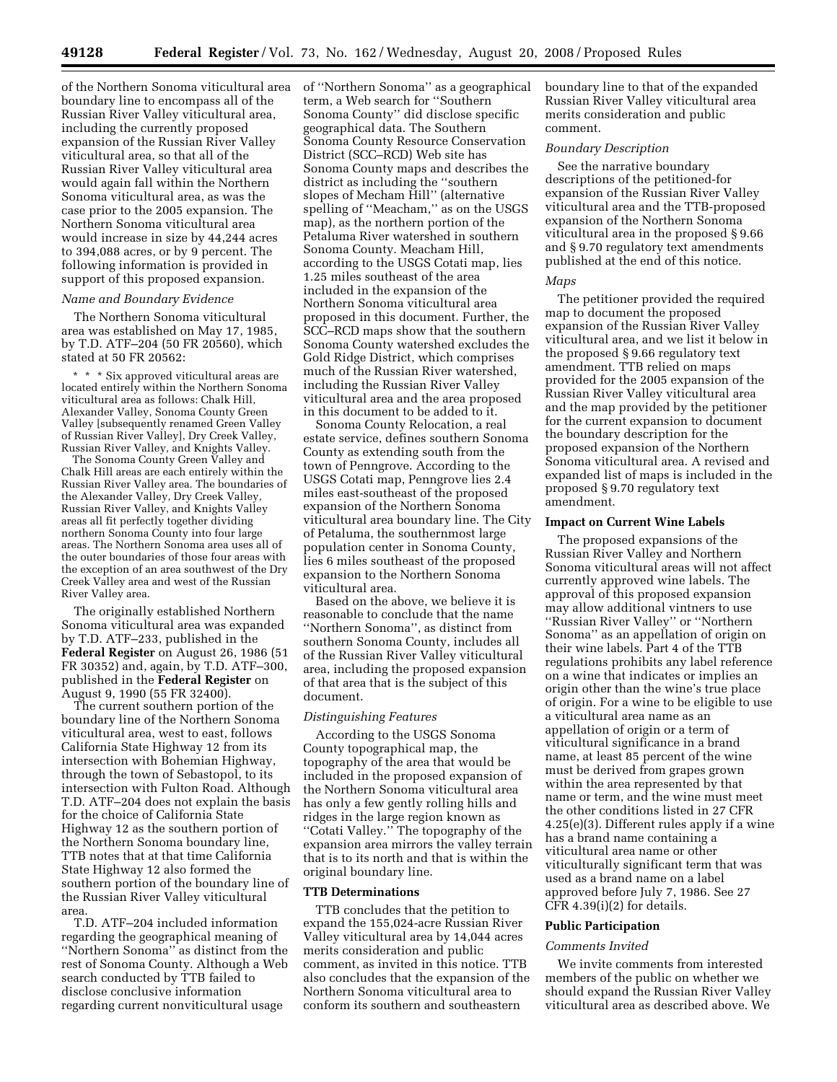of the Northern Sonoma viticultural area boundary line to encompass all of the Russian River Valley viticultural area, including the currently proposed expansion of the Russian River Valley viticultural area, so that all of the Russian River Valley viticultural area would again fall within the Northern Sonoma viticultural area, as was the case prior to the 2005 expansion. The Northern Sonoma viticultural area would increase in size by 44,244 acres to 394,088 acres, or by 9 percent. The following information is provided in support of this proposed expansion.

# *Name and Boundary Evidence*

The Northern Sonoma viticultural area was established on May 17, 1985, by T.D. ATF–204 (50 FR 20560), which stated at 50 FR 20562:

\* \* \* Six approved viticultural areas are located entirely within the Northern Sonoma viticultural area as follows: Chalk Hill, Alexander Valley, Sonoma County Green Valley [subsequently renamed Green Valley of Russian River Valley], Dry Creek Valley, Russian River Valley, and Knights Valley.

The Sonoma County Green Valley and Chalk Hill areas are each entirely within the Russian River Valley area. The boundaries of the Alexander Valley, Dry Creek Valley, Russian River Valley, and Knights Valley areas all fit perfectly together dividing northern Sonoma County into four large areas. The Northern Sonoma area uses all of the outer boundaries of those four areas with the exception of an area southwest of the Dry Creek Valley area and west of the Russian River Valley area.

The originally established Northern Sonoma viticultural area was expanded by T.D. ATF–233, published in the **Federal Register** on August 26, 1986 (51 FR 30352) and, again, by T.D. ATF–300, published in the **Federal Register** on August 9, 1990 (55 FR 32400).

The current southern portion of the boundary line of the Northern Sonoma viticultural area, west to east, follows California State Highway 12 from its intersection with Bohemian Highway, through the town of Sebastopol, to its intersection with Fulton Road. Although T.D. ATF–204 does not explain the basis for the choice of California State Highway 12 as the southern portion of the Northern Sonoma boundary line, TTB notes that at that time California State Highway 12 also formed the southern portion of the boundary line of the Russian River Valley viticultural area.

T.D. ATF–204 included information regarding the geographical meaning of ''Northern Sonoma'' as distinct from the rest of Sonoma County. Although a Web search conducted by TTB failed to disclose conclusive information regarding current nonviticultural usage

of ''Northern Sonoma'' as a geographical term, a Web search for ''Southern Sonoma County'' did disclose specific geographical data. The Southern Sonoma County Resource Conservation District (SCC–RCD) Web site has Sonoma County maps and describes the district as including the ''southern slopes of Mecham Hill'' (alternative spelling of ''Meacham,'' as on the USGS map), as the northern portion of the Petaluma River watershed in southern Sonoma County. Meacham Hill, according to the USGS Cotati map, lies 1.25 miles southeast of the area included in the expansion of the Northern Sonoma viticultural area proposed in this document. Further, the SCC–RCD maps show that the southern Sonoma County watershed excludes the Gold Ridge District, which comprises much of the Russian River watershed, including the Russian River Valley viticultural area and the area proposed in this document to be added to it.

Sonoma County Relocation, a real estate service, defines southern Sonoma County as extending south from the town of Penngrove. According to the USGS Cotati map, Penngrove lies 2.4 miles east-southeast of the proposed expansion of the Northern Sonoma viticultural area boundary line. The City of Petaluma, the southernmost large population center in Sonoma County, lies 6 miles southeast of the proposed expansion to the Northern Sonoma viticultural area.

Based on the above, we believe it is reasonable to conclude that the name ''Northern Sonoma'', as distinct from southern Sonoma County, includes all of the Russian River Valley viticultural area, including the proposed expansion of that area that is the subject of this document.

#### *Distinguishing Features*

According to the USGS Sonoma County topographical map, the topography of the area that would be included in the proposed expansion of the Northern Sonoma viticultural area has only a few gently rolling hills and ridges in the large region known as ''Cotati Valley.'' The topography of the expansion area mirrors the valley terrain that is to its north and that is within the original boundary line.

# **TTB Determinations**

TTB concludes that the petition to expand the 155,024-acre Russian River Valley viticultural area by 14,044 acres merits consideration and public comment, as invited in this notice. TTB also concludes that the expansion of the Northern Sonoma viticultural area to conform its southern and southeastern

boundary line to that of the expanded Russian River Valley viticultural area merits consideration and public comment.

## *Boundary Description*

See the narrative boundary descriptions of the petitioned-for expansion of the Russian River Valley viticultural area and the TTB-proposed expansion of the Northern Sonoma viticultural area in the proposed § 9.66 and § 9.70 regulatory text amendments published at the end of this notice.

#### *Maps*

The petitioner provided the required map to document the proposed expansion of the Russian River Valley viticultural area, and we list it below in the proposed § 9.66 regulatory text amendment. TTB relied on maps provided for the 2005 expansion of the Russian River Valley viticultural area and the map provided by the petitioner for the current expansion to document the boundary description for the proposed expansion of the Northern Sonoma viticultural area. A revised and expanded list of maps is included in the proposed § 9.70 regulatory text amendment.

#### **Impact on Current Wine Labels**

The proposed expansions of the Russian River Valley and Northern Sonoma viticultural areas will not affect currently approved wine labels. The approval of this proposed expansion may allow additional vintners to use ''Russian River Valley'' or ''Northern Sonoma'' as an appellation of origin on their wine labels. Part 4 of the TTB regulations prohibits any label reference on a wine that indicates or implies an origin other than the wine's true place of origin. For a wine to be eligible to use a viticultural area name as an appellation of origin or a term of viticultural significance in a brand name, at least 85 percent of the wine must be derived from grapes grown within the area represented by that name or term, and the wine must meet the other conditions listed in 27 CFR 4.25(e)(3). Different rules apply if a wine has a brand name containing a viticultural area name or other viticulturally significant term that was used as a brand name on a label approved before July 7, 1986. See 27 CFR 4.39(i)(2) for details.

## **Public Participation**

#### *Comments Invited*

We invite comments from interested members of the public on whether we should expand the Russian River Valley viticultural area as described above. We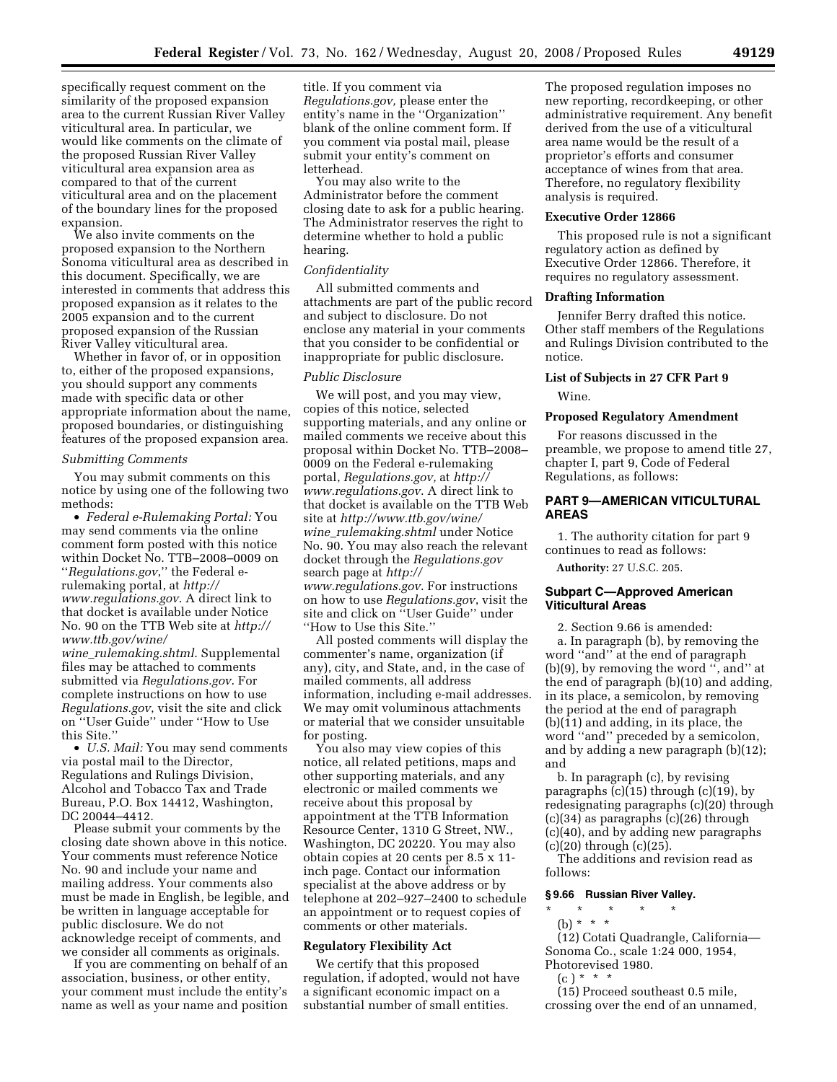specifically request comment on the similarity of the proposed expansion area to the current Russian River Valley viticultural area. In particular, we would like comments on the climate of the proposed Russian River Valley viticultural area expansion area as compared to that of the current viticultural area and on the placement of the boundary lines for the proposed expansion.

We also invite comments on the proposed expansion to the Northern Sonoma viticultural area as described in this document. Specifically, we are interested in comments that address this proposed expansion as it relates to the 2005 expansion and to the current proposed expansion of the Russian River Valley viticultural area.

Whether in favor of, or in opposition to, either of the proposed expansions, you should support any comments made with specific data or other appropriate information about the name, proposed boundaries, or distinguishing features of the proposed expansion area.

#### *Submitting Comments*

You may submit comments on this notice by using one of the following two methods:

• *Federal e-Rulemaking Portal:* You may send comments via the online comment form posted with this notice within Docket No. TTB–2008–0009 on ''*Regulations.gov*,'' the Federal erulemaking portal, at *http:// www.regulations.gov*. A direct link to that docket is available under Notice No. 90 on the TTB Web site at *http:// www.ttb.gov/wine/ wine*\_*rulemaking.shtml*. Supplemental files may be attached to comments

submitted via *Regulations.gov*. For complete instructions on how to use *Regulations.gov*, visit the site and click on ''User Guide'' under ''How to Use this Site.''

• *U.S. Mail:* You may send comments via postal mail to the Director, Regulations and Rulings Division, Alcohol and Tobacco Tax and Trade Bureau, P.O. Box 14412, Washington, DC 20044–4412.

Please submit your comments by the closing date shown above in this notice. Your comments must reference Notice No. 90 and include your name and mailing address. Your comments also must be made in English, be legible, and be written in language acceptable for public disclosure. We do not acknowledge receipt of comments, and we consider all comments as originals.

If you are commenting on behalf of an association, business, or other entity, your comment must include the entity's name as well as your name and position title. If you comment via *Regulations.gov,* please enter the entity's name in the ''Organization'' blank of the online comment form. If you comment via postal mail, please submit your entity's comment on letterhead.

You may also write to the Administrator before the comment closing date to ask for a public hearing. The Administrator reserves the right to determine whether to hold a public hearing.

## *Confidentiality*

All submitted comments and attachments are part of the public record and subject to disclosure. Do not enclose any material in your comments that you consider to be confidential or inappropriate for public disclosure.

#### *Public Disclosure*

We will post, and you may view, copies of this notice, selected supporting materials, and any online or mailed comments we receive about this proposal within Docket No. TTB–2008– 0009 on the Federal e-rulemaking portal, *Regulations.gov,* at *http:// www.regulations.gov*. A direct link to that docket is available on the TTB Web site at *http://www.ttb.gov/wine/ wine*\_*rulemaking.shtml* under Notice No. 90. You may also reach the relevant docket through the *Regulations.gov*  search page at *http:// www.regulations.gov*. For instructions on how to use *Regulations.gov*, visit the site and click on ''User Guide'' under ''How to Use this Site.''

All posted comments will display the commenter's name, organization (if any), city, and State, and, in the case of mailed comments, all address information, including e-mail addresses. We may omit voluminous attachments or material that we consider unsuitable for posting.

You also may view copies of this notice, all related petitions, maps and other supporting materials, and any electronic or mailed comments we receive about this proposal by appointment at the TTB Information Resource Center, 1310 G Street, NW., Washington, DC 20220. You may also obtain copies at 20 cents per 8.5 x 11 inch page. Contact our information specialist at the above address or by telephone at 202–927–2400 to schedule an appointment or to request copies of comments or other materials.

#### **Regulatory Flexibility Act**

We certify that this proposed regulation, if adopted, would not have a significant economic impact on a substantial number of small entities.

The proposed regulation imposes no new reporting, recordkeeping, or other administrative requirement. Any benefit derived from the use of a viticultural area name would be the result of a proprietor's efforts and consumer acceptance of wines from that area. Therefore, no regulatory flexibility analysis is required.

#### **Executive Order 12866**

This proposed rule is not a significant regulatory action as defined by Executive Order 12866. Therefore, it requires no regulatory assessment.

#### **Drafting Information**

Jennifer Berry drafted this notice. Other staff members of the Regulations and Rulings Division contributed to the notice.

# **List of Subjects in 27 CFR Part 9**

Wine.

#### **Proposed Regulatory Amendment**

For reasons discussed in the preamble, we propose to amend title 27, chapter I, part 9, Code of Federal Regulations, as follows:

# **PART 9—AMERICAN VITICULTURAL AREAS**

1. The authority citation for part 9 continues to read as follows:

**Authority:** 27 U.S.C. 205.

## **Subpart C—Approved American Viticultural Areas**

2. Section 9.66 is amended: a. In paragraph (b), by removing the word ''and'' at the end of paragraph (b)(9), by removing the word '', and'' at the end of paragraph (b)(10) and adding, in its place, a semicolon, by removing the period at the end of paragraph (b)(11) and adding, in its place, the word ''and'' preceded by a semicolon, and by adding a new paragraph (b)(12); and

b. In paragraph (c), by revising paragraphs (c)(15) through (c)(19), by redesignating paragraphs (c)(20) through (c)(34) as paragraphs (c)(26) through (c)(40), and by adding new paragraphs  $(c)(20)$  through  $(c)(25)$ .

The additions and revision read as follows:

# **§ 9.66 Russian River Valley.**

- \* \* \* \* \*
- (b) \* \* \*

(12) Cotati Quadrangle, California— Sonoma Co., scale 1:24 000, 1954, Photorevised 1980.

 $(c) * * * *$ 

(15) Proceed southeast 0.5 mile, crossing over the end of an unnamed,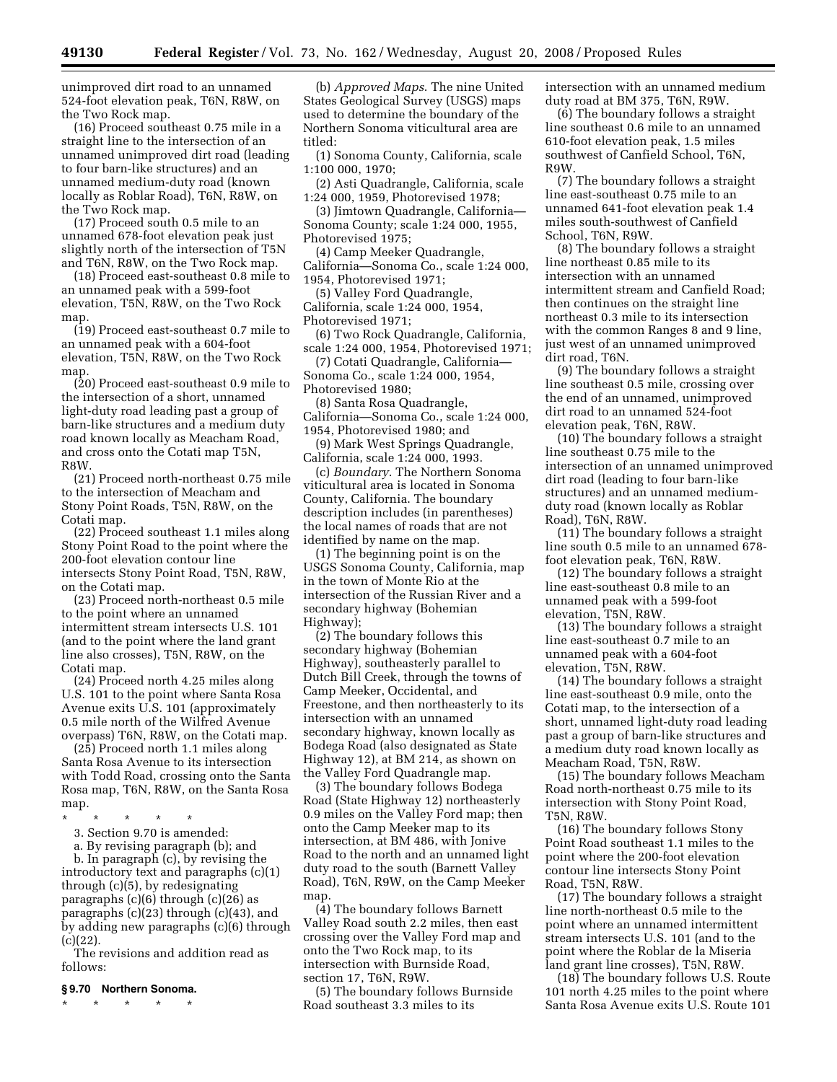unimproved dirt road to an unnamed 524-foot elevation peak, T6N, R8W, on the Two Rock map.

(16) Proceed southeast 0.75 mile in a straight line to the intersection of an unnamed unimproved dirt road (leading to four barn-like structures) and an unnamed medium-duty road (known locally as Roblar Road), T6N, R8W, on the Two Rock map.

(17) Proceed south 0.5 mile to an unnamed 678-foot elevation peak just slightly north of the intersection of T5N and T6N, R8W, on the Two Rock map.

(18) Proceed east-southeast 0.8 mile to an unnamed peak with a 599-foot elevation, T5N, R8W, on the Two Rock map.

(19) Proceed east-southeast 0.7 mile to an unnamed peak with a 604-foot elevation, T5N, R8W, on the Two Rock map.

(20) Proceed east-southeast 0.9 mile to the intersection of a short, unnamed light-duty road leading past a group of barn-like structures and a medium duty road known locally as Meacham Road, and cross onto the Cotati map T5N, R8W.

(21) Proceed north-northeast 0.75 mile to the intersection of Meacham and Stony Point Roads, T5N, R8W, on the Cotati map.

(22) Proceed southeast 1.1 miles along Stony Point Road to the point where the 200-foot elevation contour line intersects Stony Point Road, T5N, R8W, on the Cotati map.

(23) Proceed north-northeast 0.5 mile to the point where an unnamed intermittent stream intersects U.S. 101 (and to the point where the land grant line also crosses), T5N, R8W, on the Cotati map.

(24) Proceed north 4.25 miles along U.S. 101 to the point where Santa Rosa Avenue exits U.S. 101 (approximately 0.5 mile north of the Wilfred Avenue overpass) T6N, R8W, on the Cotati map.

(25) Proceed north 1.1 miles along Santa Rosa Avenue to its intersection with Todd Road, crossing onto the Santa Rosa map, T6N, R8W, on the Santa Rosa map.

\* \* \* \* \*

3. Section 9.70 is amended:

a. By revising paragraph (b); and

b. In paragraph (c), by revising the introductory text and paragraphs (c)(1) through (c)(5), by redesignating paragraphs (c)(6) through (c)(26) as paragraphs (c)(23) through (c)(43), and by adding new paragraphs (c)(6) through (c)(22).

The revisions and addition read as follows:

## **§ 9.70 Northern Sonoma.**

\* \* \* \* \*

(b) *Approved Maps*. The nine United States Geological Survey (USGS) maps used to determine the boundary of the Northern Sonoma viticultural area are titled:

(1) Sonoma County, California, scale 1:100 000, 1970;

(2) Asti Quadrangle, California, scale 1:24 000, 1959, Photorevised 1978;

(3) Jimtown Quadrangle, California— Sonoma County; scale 1:24 000, 1955, Photorevised 1975;

(4) Camp Meeker Quadrangle, California—Sonoma Co., scale 1:24 000, 1954, Photorevised 1971;

(5) Valley Ford Quadrangle, California, scale 1:24 000, 1954, Photorevised 1971;

(6) Two Rock Quadrangle, California, scale 1:24 000, 1954, Photorevised 1971;

(7) Cotati Quadrangle, California— Sonoma Co., scale 1:24 000, 1954, Photorevised 1980;

(8) Santa Rosa Quadrangle, California—Sonoma Co., scale 1:24 000, 1954, Photorevised 1980; and

(9) Mark West Springs Quadrangle, California, scale 1:24 000, 1993.

(c) *Boundary*. The Northern Sonoma viticultural area is located in Sonoma County, California. The boundary description includes (in parentheses) the local names of roads that are not identified by name on the map.

(1) The beginning point is on the USGS Sonoma County, California, map in the town of Monte Rio at the intersection of the Russian River and a secondary highway (Bohemian Highway);

(2) The boundary follows this secondary highway (Bohemian Highway), southeasterly parallel to Dutch Bill Creek, through the towns of Camp Meeker, Occidental, and Freestone, and then northeasterly to its intersection with an unnamed secondary highway, known locally as Bodega Road (also designated as State Highway 12), at BM 214, as shown on the Valley Ford Quadrangle map.

(3) The boundary follows Bodega Road (State Highway 12) northeasterly 0.9 miles on the Valley Ford map; then onto the Camp Meeker map to its intersection, at BM 486, with Jonive Road to the north and an unnamed light duty road to the south (Barnett Valley Road), T6N, R9W, on the Camp Meeker map.

(4) The boundary follows Barnett Valley Road south 2.2 miles, then east crossing over the Valley Ford map and onto the Two Rock map, to its intersection with Burnside Road, section 17, T6N, R9W.

(5) The boundary follows Burnside Road southeast 3.3 miles to its

intersection with an unnamed medium duty road at BM 375, T6N, R9W.

(6) The boundary follows a straight line southeast 0.6 mile to an unnamed 610-foot elevation peak, 1.5 miles southwest of Canfield School, T6N, R9W.

(7) The boundary follows a straight line east-southeast 0.75 mile to an unnamed 641-foot elevation peak 1.4 miles south-southwest of Canfield School, T6N, R9W.

(8) The boundary follows a straight line northeast 0.85 mile to its intersection with an unnamed intermittent stream and Canfield Road; then continues on the straight line northeast 0.3 mile to its intersection with the common Ranges 8 and 9 line, just west of an unnamed unimproved dirt road, T6N.

(9) The boundary follows a straight line southeast 0.5 mile, crossing over the end of an unnamed, unimproved dirt road to an unnamed 524-foot elevation peak, T6N, R8W.

(10) The boundary follows a straight line southeast 0.75 mile to the intersection of an unnamed unimproved dirt road (leading to four barn-like structures) and an unnamed mediumduty road (known locally as Roblar Road), T6N, R8W.

(11) The boundary follows a straight line south 0.5 mile to an unnamed 678 foot elevation peak, T6N, R8W.

(12) The boundary follows a straight line east-southeast 0.8 mile to an unnamed peak with a 599-foot elevation, T5N, R8W.

(13) The boundary follows a straight line east-southeast 0.7 mile to an unnamed peak with a 604-foot elevation, T5N, R8W.

(14) The boundary follows a straight line east-southeast 0.9 mile, onto the Cotati map, to the intersection of a short, unnamed light-duty road leading past a group of barn-like structures and a medium duty road known locally as Meacham Road, T5N, R8W.

(15) The boundary follows Meacham Road north-northeast 0.75 mile to its intersection with Stony Point Road, T5N, R8W.

(16) The boundary follows Stony Point Road southeast 1.1 miles to the point where the 200-foot elevation contour line intersects Stony Point Road, T5N, R8W.

(17) The boundary follows a straight line north-northeast 0.5 mile to the point where an unnamed intermittent stream intersects U.S. 101 (and to the point where the Roblar de la Miseria land grant line crosses), T5N, R8W.

(18) The boundary follows U.S. Route 101 north 4.25 miles to the point where Santa Rosa Avenue exits U.S. Route 101